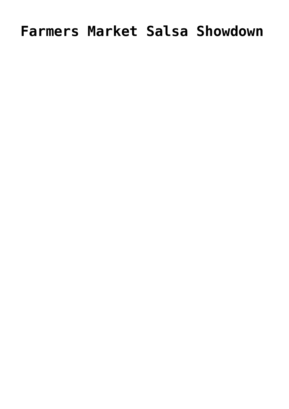# **Farmers Market Salsa Showdown**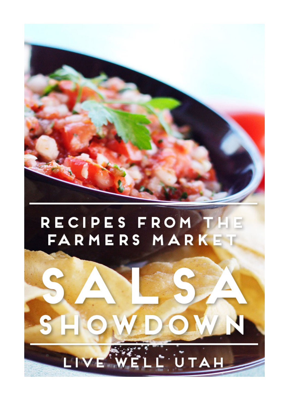

# RECIPES FROM THE FARMERS MARKET

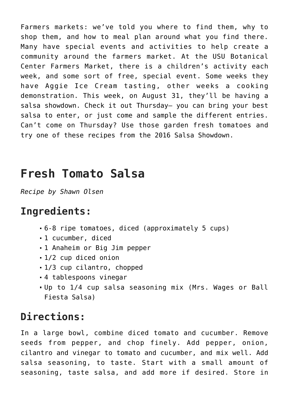Farmers markets: we've told you where to find them, why to shop them, and how to meal plan around what you find there. Many have special events and activities to help create a community around the farmers market. At the [USU Botanical](https://usubotanicalcenter.org/events/farmers-market/) [Center Farmers Market](https://usubotanicalcenter.org/events/farmers-market/), there is a children's activity each week, and some sort of free, special event. Some weeks they have Aggie Ice Cream tasting, other weeks a cooking demonstration. This week, on August 31, they'll be having a salsa showdown. Check it out Thursday— you can bring your best salsa to enter, or just come and sample the different entries. Can't come on Thursday? Use those garden fresh tomatoes and try one of these recipes from the 2016 Salsa Showdown.

### **Fresh Tomato Salsa**

*Recipe by Shawn Olsen*

#### **Ingredients:**

- 6-8 ripe tomatoes, diced (approximately 5 cups)
- 1 cucumber, diced
- 1 Anaheim or Big Jim pepper
- 1/2 cup diced onion
- 1/3 cup cilantro, chopped
- 4 tablespoons vinegar
- Up to 1/4 cup salsa seasoning mix (Mrs. Wages or Ball Fiesta Salsa)

#### **Directions:**

In a large bowl, combine diced tomato and cucumber. Remove seeds from pepper, and chop finely. Add pepper, onion, cilantro and vinegar to tomato and cucumber, and mix well. Add salsa seasoning, to taste. Start with a small amount of seasoning, taste salsa, and add more if desired. Store in